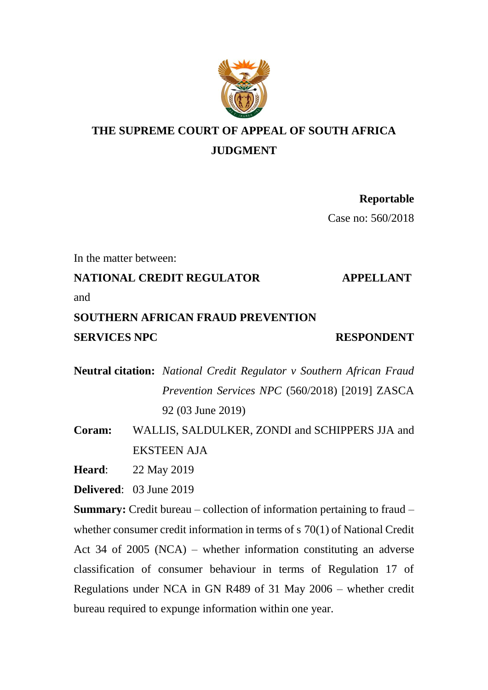

# **THE SUPREME COURT OF APPEAL OF SOUTH AFRICA JUDGMENT**

**Reportable** Case no: 560/2018

In the matter between:

**NATIONAL CREDIT REGULATOR APPELLANT** 

and

## **SOUTHERN AFRICAN FRAUD PREVENTION SERVICES NPC** RESPONDENT

**Neutral citation:** *National Credit Regulator v Southern African Fraud Prevention Services NPC* (560/2018) [2019] ZASCA

92 (03 June 2019)

**Coram:** WALLIS, SALDULKER, ZONDI and SCHIPPERS JJA and EKSTEEN AJA

**Heard**: 22 May 2019

**Delivered**: 03 June 2019

**Summary:** Credit bureau – collection of information pertaining to fraud – whether consumer credit information in terms of s 70(1) of National Credit Act 34 of 2005 (NCA) – whether information constituting an adverse classification of consumer behaviour in terms of Regulation 17 of Regulations under NCA in GN R489 of 31 May 2006 – whether credit bureau required to expunge information within one year.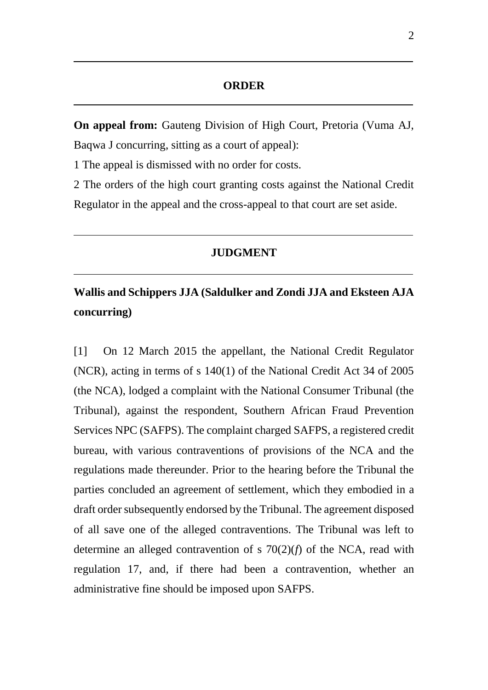#### **ORDER**

**On appeal from:** Gauteng Division of High Court, Pretoria (Vuma AJ, Baqwa J concurring, sitting as a court of appeal):

1 The appeal is dismissed with no order for costs.

2 The orders of the high court granting costs against the National Credit Regulator in the appeal and the cross-appeal to that court are set aside.

#### **JUDGMENT**

## **Wallis and Schippers JJA (Saldulker and Zondi JJA and Eksteen AJA concurring)**

[1] On 12 March 2015 the appellant, the National Credit Regulator (NCR), acting in terms of s 140(1) of the National Credit Act 34 of 2005 (the NCA), lodged a complaint with the National Consumer Tribunal (the Tribunal), against the respondent, Southern African Fraud Prevention Services NPC (SAFPS). The complaint charged SAFPS, a registered credit bureau, with various contraventions of provisions of the NCA and the regulations made thereunder. Prior to the hearing before the Tribunal the parties concluded an agreement of settlement, which they embodied in a draft order subsequently endorsed by the Tribunal. The agreement disposed of all save one of the alleged contraventions. The Tribunal was left to determine an alleged contravention of s 70(2)(*f*) of the NCA, read with regulation 17, and, if there had been a contravention, whether an administrative fine should be imposed upon SAFPS.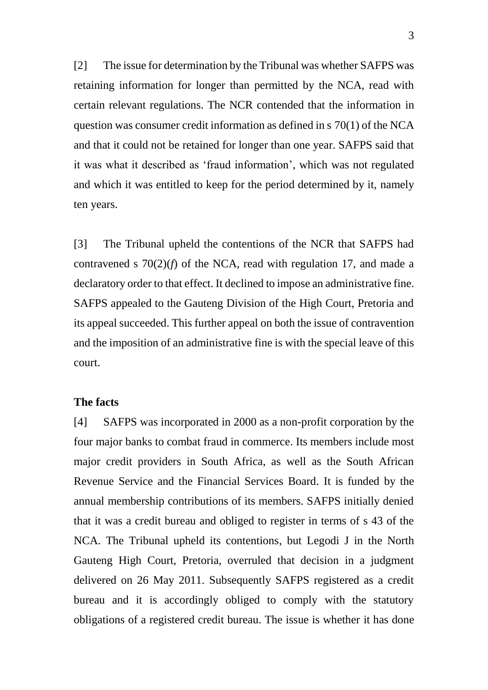[2] The issue for determination by the Tribunal was whether SAFPS was retaining information for longer than permitted by the NCA, read with certain relevant regulations. The NCR contended that the information in question was consumer credit information as defined in s 70(1) of the NCA and that it could not be retained for longer than one year. SAFPS said that it was what it described as 'fraud information', which was not regulated and which it was entitled to keep for the period determined by it, namely ten years.

[3] The Tribunal upheld the contentions of the NCR that SAFPS had contravened s 70(2)(*f*) of the NCA, read with regulation 17, and made a declaratory order to that effect. It declined to impose an administrative fine. SAFPS appealed to the Gauteng Division of the High Court, Pretoria and its appeal succeeded. This further appeal on both the issue of contravention and the imposition of an administrative fine is with the special leave of this court.

#### **The facts**

[4] SAFPS was incorporated in 2000 as a non-profit corporation by the four major banks to combat fraud in commerce. Its members include most major credit providers in South Africa, as well as the South African Revenue Service and the Financial Services Board. It is funded by the annual membership contributions of its members. SAFPS initially denied that it was a credit bureau and obliged to register in terms of s 43 of the NCA. The Tribunal upheld its contentions, but Legodi J in the North Gauteng High Court, Pretoria, overruled that decision in a judgment delivered on 26 May 2011. Subsequently SAFPS registered as a credit bureau and it is accordingly obliged to comply with the statutory obligations of a registered credit bureau. The issue is whether it has done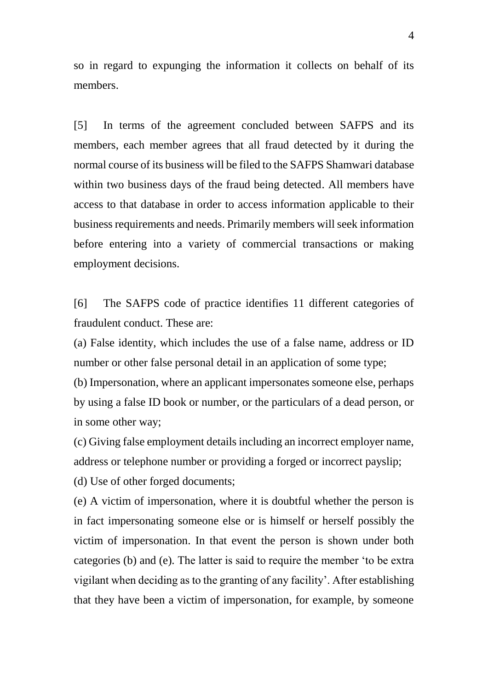so in regard to expunging the information it collects on behalf of its members.

[5] In terms of the agreement concluded between SAFPS and its members, each member agrees that all fraud detected by it during the normal course of its business will be filed to the SAFPS Shamwari database within two business days of the fraud being detected. All members have access to that database in order to access information applicable to their business requirements and needs. Primarily members will seek information before entering into a variety of commercial transactions or making employment decisions.

[6] The SAFPS code of practice identifies 11 different categories of fraudulent conduct. These are:

(a) False identity, which includes the use of a false name, address or ID number or other false personal detail in an application of some type; (b) Impersonation, where an applicant impersonates someone else, perhaps

by using a false ID book or number, or the particulars of a dead person, or in some other way;

(c) Giving false employment details including an incorrect employer name, address or telephone number or providing a forged or incorrect payslip;

(d) Use of other forged documents;

(e) A victim of impersonation, where it is doubtful whether the person is in fact impersonating someone else or is himself or herself possibly the victim of impersonation. In that event the person is shown under both categories (b) and (e). The latter is said to require the member 'to be extra vigilant when deciding as to the granting of any facility'. After establishing that they have been a victim of impersonation, for example, by someone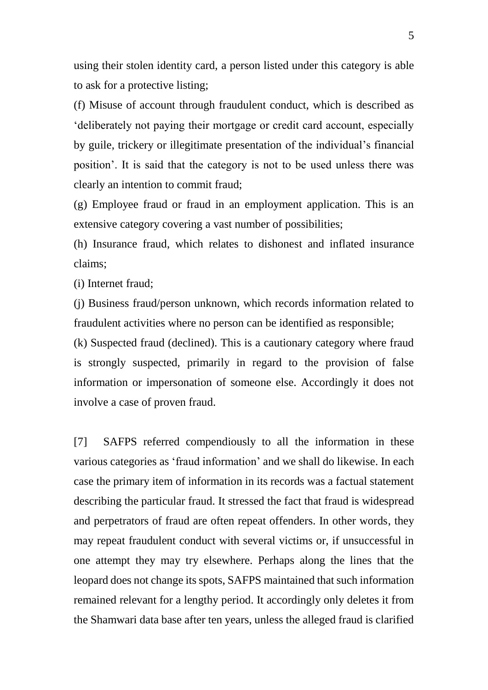using their stolen identity card, a person listed under this category is able to ask for a protective listing;

(f) Misuse of account through fraudulent conduct, which is described as 'deliberately not paying their mortgage or credit card account, especially by guile, trickery or illegitimate presentation of the individual's financial position'. It is said that the category is not to be used unless there was clearly an intention to commit fraud;

(g) Employee fraud or fraud in an employment application. This is an extensive category covering a vast number of possibilities;

(h) Insurance fraud, which relates to dishonest and inflated insurance claims;

(i) Internet fraud;

(j) Business fraud/person unknown, which records information related to fraudulent activities where no person can be identified as responsible;

(k) Suspected fraud (declined). This is a cautionary category where fraud is strongly suspected, primarily in regard to the provision of false information or impersonation of someone else. Accordingly it does not involve a case of proven fraud.

[7] SAFPS referred compendiously to all the information in these various categories as 'fraud information' and we shall do likewise. In each case the primary item of information in its records was a factual statement describing the particular fraud. It stressed the fact that fraud is widespread and perpetrators of fraud are often repeat offenders. In other words, they may repeat fraudulent conduct with several victims or, if unsuccessful in one attempt they may try elsewhere. Perhaps along the lines that the leopard does not change its spots, SAFPS maintained that such information remained relevant for a lengthy period. It accordingly only deletes it from the Shamwari data base after ten years, unless the alleged fraud is clarified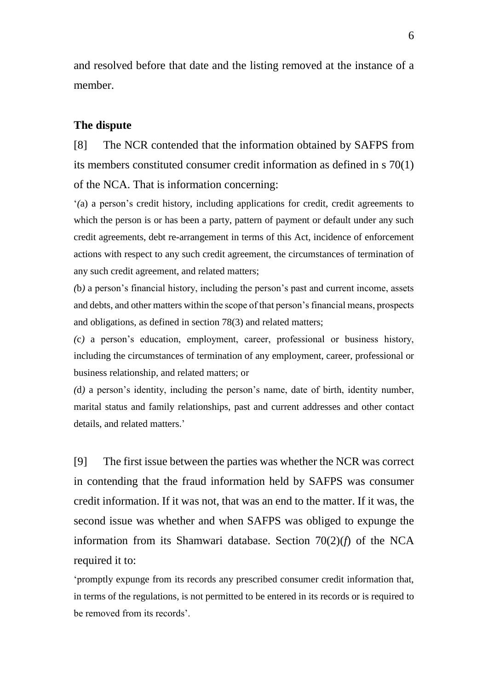and resolved before that date and the listing removed at the instance of a member.

## **The dispute**

[8] The NCR contended that the information obtained by SAFPS from its members constituted consumer credit information as defined in s 70(1) of the NCA. That is information concerning:

'*(*a) a person's credit history, including applications for credit, credit agreements to which the person is or has been a party, pattern of payment or default under any such credit agreements, debt re-arrangement in terms of this Act, incidence of enforcement actions with respect to any such credit agreement, the circumstances of termination of any such credit agreement, and related matters;

*(*b*)* a person's financial history, including the person's past and current income, assets and debts, and other matters within the scope of that person's financial means, prospects and obligations, as defined in section 78(3) and related matters;

*(*c*)* a person's education, employment, career, professional or business history, including the circumstances of termination of any employment, career, professional or business relationship, and related matters; or

*(*d*)* a person's identity, including the person's name, date of birth, identity number, marital status and family relationships, past and current addresses and other contact details, and related matters.'

[9] The first issue between the parties was whether the NCR was correct in contending that the fraud information held by SAFPS was consumer credit information. If it was not, that was an end to the matter. If it was, the second issue was whether and when SAFPS was obliged to expunge the information from its Shamwari database. Section 70(2)(*f*) of the NCA required it to:

'promptly expunge from its records any prescribed consumer credit information that, in terms of the regulations, is not permitted to be entered in its records or is required to be removed from its records'.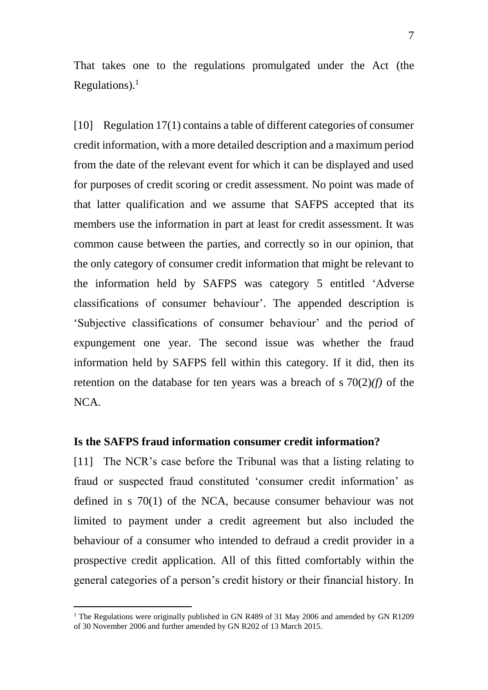That takes one to the regulations promulgated under the Act (the Regulations). $<sup>1</sup>$ </sup>

[10] Regulation 17(1) contains a table of different categories of consumer credit information, with a more detailed description and a maximum period from the date of the relevant event for which it can be displayed and used for purposes of credit scoring or credit assessment. No point was made of that latter qualification and we assume that SAFPS accepted that its members use the information in part at least for credit assessment. It was common cause between the parties, and correctly so in our opinion, that the only category of consumer credit information that might be relevant to the information held by SAFPS was category 5 entitled 'Adverse classifications of consumer behaviour'. The appended description is 'Subjective classifications of consumer behaviour' and the period of expungement one year. The second issue was whether the fraud information held by SAFPS fell within this category. If it did, then its retention on the database for ten years was a breach of s 70(2)*(f)* of the NCA.

### **Is the SAFPS fraud information consumer credit information?**

[11] The NCR's case before the Tribunal was that a listing relating to fraud or suspected fraud constituted 'consumer credit information' as defined in s 70(1) of the NCA, because consumer behaviour was not limited to payment under a credit agreement but also included the behaviour of a consumer who intended to defraud a credit provider in a prospective credit application. All of this fitted comfortably within the general categories of a person's credit history or their financial history. In

<sup>&</sup>lt;sup>1</sup> The Regulations were originally published in GN R489 of 31 May 2006 and amended by GN R1209 of 30 November 2006 and further amended by GN R202 of 13 March 2015.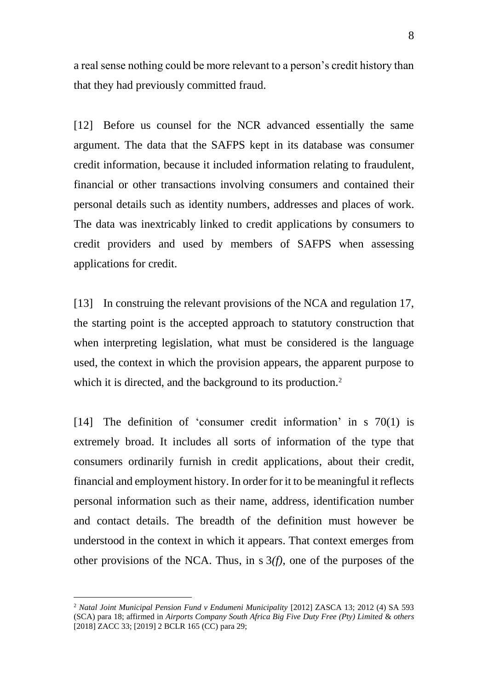a real sense nothing could be more relevant to a person's credit history than that they had previously committed fraud.

[12] Before us counsel for the NCR advanced essentially the same argument. The data that the SAFPS kept in its database was consumer credit information, because it included information relating to fraudulent, financial or other transactions involving consumers and contained their personal details such as identity numbers, addresses and places of work. The data was inextricably linked to credit applications by consumers to credit providers and used by members of SAFPS when assessing applications for credit.

[13] In construing the relevant provisions of the NCA and regulation 17, the starting point is the accepted approach to statutory construction that when interpreting legislation, what must be considered is the language used, the context in which the provision appears, the apparent purpose to which it is directed, and the background to its production.<sup>2</sup>

[14] The definition of 'consumer credit information' in s 70(1) is extremely broad. It includes all sorts of information of the type that consumers ordinarily furnish in credit applications, about their credit, financial and employment history. In order for it to be meaningful it reflects personal information such as their name, address, identification number and contact details. The breadth of the definition must however be understood in the context in which it appears. That context emerges from other provisions of the NCA. Thus, in s 3*(f)*, one of the purposes of the

<sup>2</sup> *Natal Joint Municipal Pension Fund v Endumeni Municipality* [2012] ZASCA 13; 2012 (4) SA 593 (SCA) para 18; affirmed in *Airports Company South Africa Big Five Duty Free (Pty) Limited* & *others* [2018] ZACC 33; [2019] 2 BCLR 165 (CC) para 29;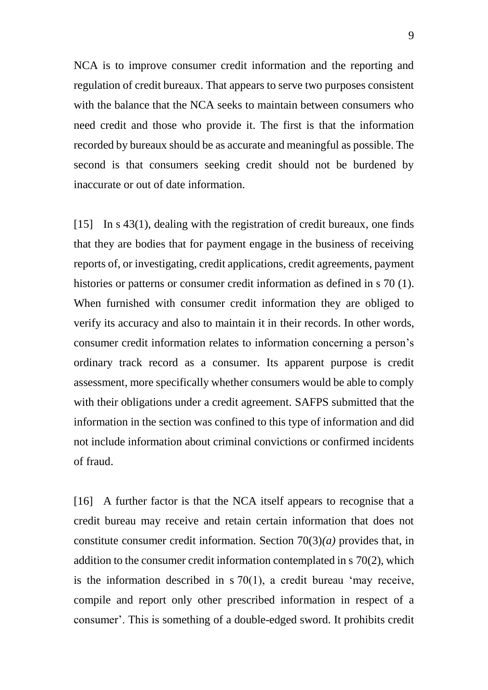NCA is to improve consumer credit information and the reporting and regulation of credit bureaux. That appears to serve two purposes consistent with the balance that the NCA seeks to maintain between consumers who need credit and those who provide it. The first is that the information recorded by bureaux should be as accurate and meaningful as possible. The second is that consumers seeking credit should not be burdened by inaccurate or out of date information.

[15] In s 43(1), dealing with the registration of credit bureaux, one finds that they are bodies that for payment engage in the business of receiving reports of, or investigating, credit applications, credit agreements, payment histories or patterns or consumer credit information as defined in s 70 (1). When furnished with consumer credit information they are obliged to verify its accuracy and also to maintain it in their records. In other words, consumer credit information relates to information concerning a person's ordinary track record as a consumer. Its apparent purpose is credit assessment, more specifically whether consumers would be able to comply with their obligations under a credit agreement. SAFPS submitted that the information in the section was confined to this type of information and did not include information about criminal convictions or confirmed incidents of fraud.

[16] A further factor is that the NCA itself appears to recognise that a credit bureau may receive and retain certain information that does not constitute consumer credit information. Section 70(3)*(a)* provides that, in addition to the consumer credit information contemplated in s 70(2), which is the information described in s 70(1), a credit bureau 'may receive, compile and report only other prescribed information in respect of a consumer'. This is something of a double-edged sword. It prohibits credit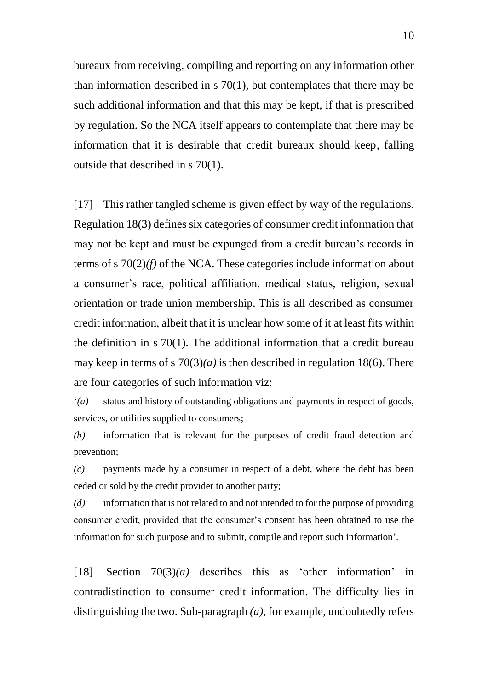bureaux from receiving, compiling and reporting on any information other than information described in s 70(1), but contemplates that there may be such additional information and that this may be kept, if that is prescribed by regulation. So the NCA itself appears to contemplate that there may be information that it is desirable that credit bureaux should keep, falling outside that described in s 70(1).

[17] This rather tangled scheme is given effect by way of the regulations. Regulation 18(3) defines six categories of consumer credit information that may not be kept and must be expunged from a credit bureau's records in terms of s 70(2)*(f)* of the NCA. These categories include information about a consumer's race, political affiliation, medical status, religion, sexual orientation or trade union membership. This is all described as consumer credit information, albeit that it is unclear how some of it at least fits within the definition in s 70(1). The additional information that a credit bureau may keep in terms of s  $70(3)(a)$  is then described in regulation 18(6). There are four categories of such information viz:

'*(a)* status and history of outstanding obligations and payments in respect of goods, services, or utilities supplied to consumers;

*(b)* information that is relevant for the purposes of credit fraud detection and prevention;

*(c)* payments made by a consumer in respect of a debt, where the debt has been ceded or sold by the credit provider to another party;

*(d)* information that is not related to and not intended to for the purpose of providing consumer credit, provided that the consumer's consent has been obtained to use the information for such purpose and to submit, compile and report such information'.

[18] Section 70(3)*(a)* describes this as 'other information' in contradistinction to consumer credit information. The difficulty lies in distinguishing the two. Sub-paragraph *(a)*, for example, undoubtedly refers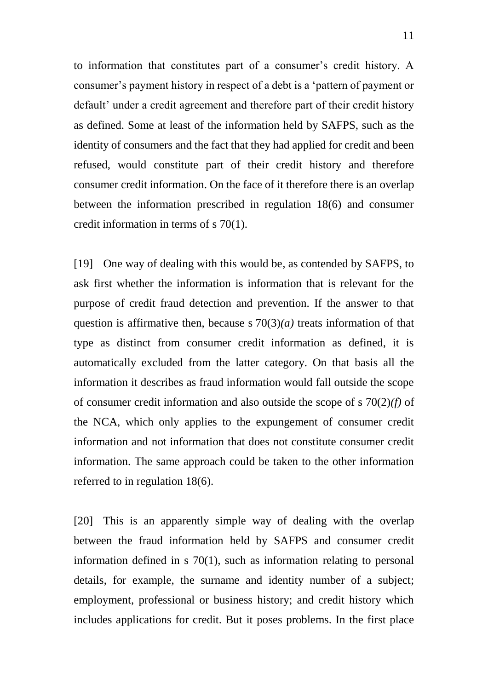to information that constitutes part of a consumer's credit history. A consumer's payment history in respect of a debt is a 'pattern of payment or default' under a credit agreement and therefore part of their credit history as defined. Some at least of the information held by SAFPS, such as the identity of consumers and the fact that they had applied for credit and been refused, would constitute part of their credit history and therefore consumer credit information. On the face of it therefore there is an overlap between the information prescribed in regulation 18(6) and consumer credit information in terms of s 70(1).

[19] One way of dealing with this would be, as contended by SAFPS, to ask first whether the information is information that is relevant for the purpose of credit fraud detection and prevention. If the answer to that question is affirmative then, because s 70(3)*(a)* treats information of that type as distinct from consumer credit information as defined, it is automatically excluded from the latter category. On that basis all the information it describes as fraud information would fall outside the scope of consumer credit information and also outside the scope of s 70(2)*(f)* of the NCA, which only applies to the expungement of consumer credit information and not information that does not constitute consumer credit information. The same approach could be taken to the other information referred to in regulation 18(6).

[20] This is an apparently simple way of dealing with the overlap between the fraud information held by SAFPS and consumer credit information defined in s 70(1), such as information relating to personal details, for example, the surname and identity number of a subject; employment, professional or business history; and credit history which includes applications for credit. But it poses problems. In the first place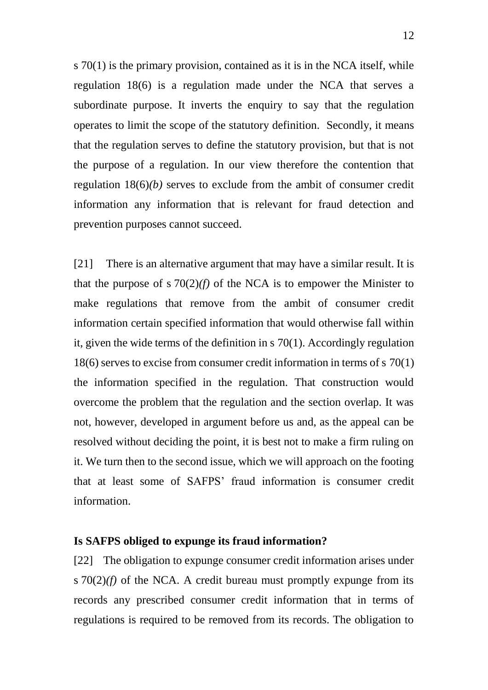s 70(1) is the primary provision, contained as it is in the NCA itself, while regulation 18(6) is a regulation made under the NCA that serves a subordinate purpose. It inverts the enquiry to say that the regulation operates to limit the scope of the statutory definition. Secondly, it means that the regulation serves to define the statutory provision, but that is not the purpose of a regulation. In our view therefore the contention that regulation 18(6)*(b)* serves to exclude from the ambit of consumer credit information any information that is relevant for fraud detection and prevention purposes cannot succeed.

[21] There is an alternative argument that may have a similar result. It is that the purpose of s  $70(2)(f)$  of the NCA is to empower the Minister to make regulations that remove from the ambit of consumer credit information certain specified information that would otherwise fall within it, given the wide terms of the definition in s 70(1). Accordingly regulation 18(6) serves to excise from consumer credit information in terms of s 70(1) the information specified in the regulation. That construction would overcome the problem that the regulation and the section overlap. It was not, however, developed in argument before us and, as the appeal can be resolved without deciding the point, it is best not to make a firm ruling on it. We turn then to the second issue, which we will approach on the footing that at least some of SAFPS' fraud information is consumer credit information.

#### **Is SAFPS obliged to expunge its fraud information?**

[22] The obligation to expunge consumer credit information arises under s  $70(2)(f)$  of the NCA. A credit bureau must promptly expunge from its records any prescribed consumer credit information that in terms of regulations is required to be removed from its records. The obligation to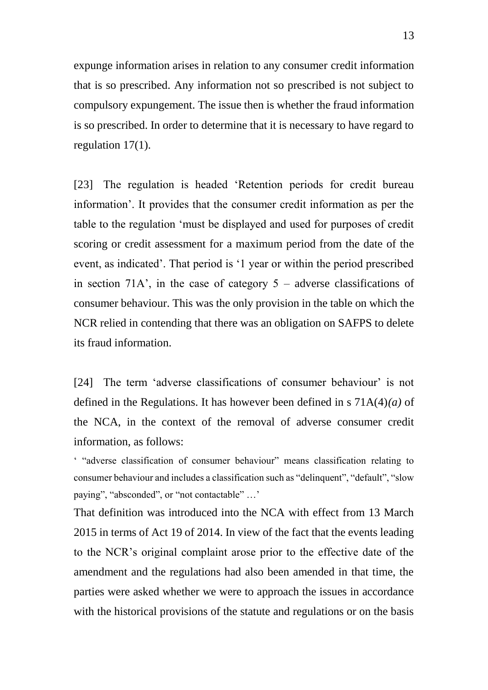expunge information arises in relation to any consumer credit information that is so prescribed. Any information not so prescribed is not subject to compulsory expungement. The issue then is whether the fraud information is so prescribed. In order to determine that it is necessary to have regard to regulation 17(1).

[23] The regulation is headed 'Retention periods for credit bureau information'. It provides that the consumer credit information as per the table to the regulation 'must be displayed and used for purposes of credit scoring or credit assessment for a maximum period from the date of the event, as indicated'. That period is '1 year or within the period prescribed in section 71A', in the case of category  $5 -$  adverse classifications of consumer behaviour. This was the only provision in the table on which the NCR relied in contending that there was an obligation on SAFPS to delete its fraud information.

[24] The term 'adverse classifications of consumer behaviour' is not defined in the Regulations. It has however been defined in s 71A(4)*(a)* of the NCA, in the context of the removal of adverse consumer credit information, as follows:

' "adverse classification of consumer behaviour" means classification relating to consumer behaviour and includes a classification such as "delinquent", "default", "slow paying", "absconded", or "not contactable" …'

That definition was introduced into the NCA with effect from 13 March 2015 in terms of Act 19 of 2014. In view of the fact that the events leading to the NCR's original complaint arose prior to the effective date of the amendment and the regulations had also been amended in that time, the parties were asked whether we were to approach the issues in accordance with the historical provisions of the statute and regulations or on the basis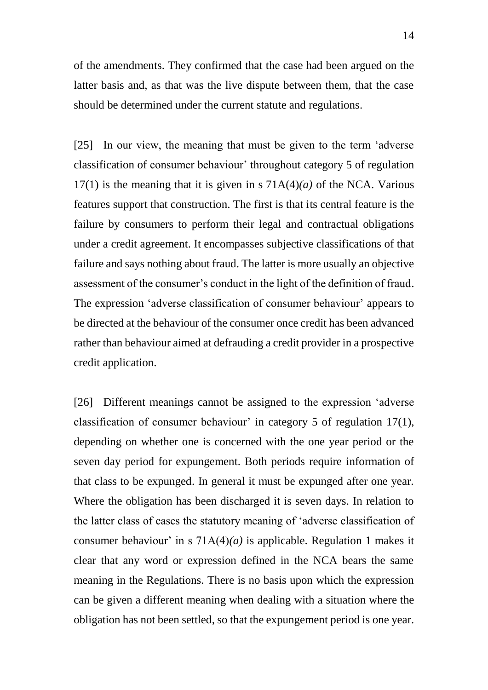of the amendments. They confirmed that the case had been argued on the latter basis and, as that was the live dispute between them, that the case should be determined under the current statute and regulations.

[25] In our view, the meaning that must be given to the term 'adverse classification of consumer behaviour' throughout category 5 of regulation 17(1) is the meaning that it is given in s 71A(4)*(a)* of the NCA. Various features support that construction. The first is that its central feature is the failure by consumers to perform their legal and contractual obligations under a credit agreement. It encompasses subjective classifications of that failure and says nothing about fraud. The latter is more usually an objective assessment of the consumer's conduct in the light of the definition of fraud. The expression 'adverse classification of consumer behaviour' appears to be directed at the behaviour of the consumer once credit has been advanced rather than behaviour aimed at defrauding a credit provider in a prospective credit application.

[26] Different meanings cannot be assigned to the expression 'adverse classification of consumer behaviour' in category 5 of regulation 17(1), depending on whether one is concerned with the one year period or the seven day period for expungement. Both periods require information of that class to be expunged. In general it must be expunged after one year. Where the obligation has been discharged it is seven days. In relation to the latter class of cases the statutory meaning of 'adverse classification of consumer behaviour' in s 71A(4)*(a)* is applicable. Regulation 1 makes it clear that any word or expression defined in the NCA bears the same meaning in the Regulations. There is no basis upon which the expression can be given a different meaning when dealing with a situation where the obligation has not been settled, so that the expungement period is one year.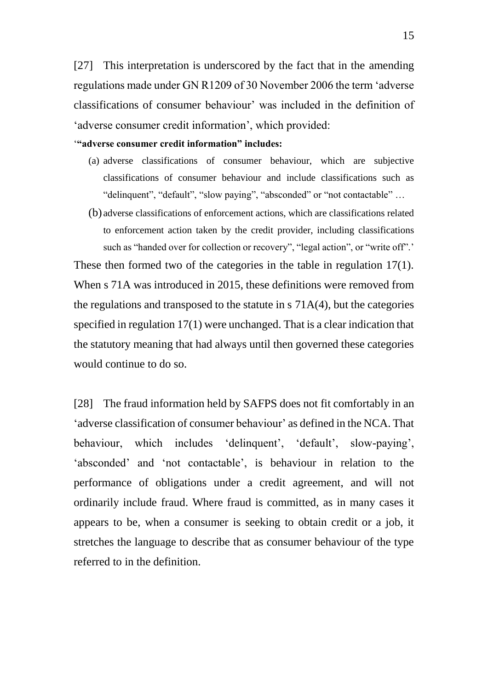[27] This interpretation is underscored by the fact that in the amending regulations made under GN R1209 of 30 November 2006 the term 'adverse classifications of consumer behaviour' was included in the definition of 'adverse consumer credit information', which provided:

#### '**"adverse consumer credit information" includes:**

- (a) adverse classifications of consumer behaviour, which are subjective classifications of consumer behaviour and include classifications such as "delinquent", "default", "slow paying", "absconded" or "not contactable" …
- (b) adverse classifications of enforcement actions, which are classifications related to enforcement action taken by the credit provider, including classifications such as "handed over for collection or recovery", "legal action", or "write off".'

These then formed two of the categories in the table in regulation 17(1). When s 71A was introduced in 2015, these definitions were removed from the regulations and transposed to the statute in s 71A(4), but the categories specified in regulation 17(1) were unchanged. That is a clear indication that the statutory meaning that had always until then governed these categories would continue to do so.

[28] The fraud information held by SAFPS does not fit comfortably in an 'adverse classification of consumer behaviour' as defined in the NCA. That behaviour, which includes 'delinquent', 'default', slow-paying', 'absconded' and 'not contactable', is behaviour in relation to the performance of obligations under a credit agreement, and will not ordinarily include fraud. Where fraud is committed, as in many cases it appears to be, when a consumer is seeking to obtain credit or a job, it stretches the language to describe that as consumer behaviour of the type referred to in the definition.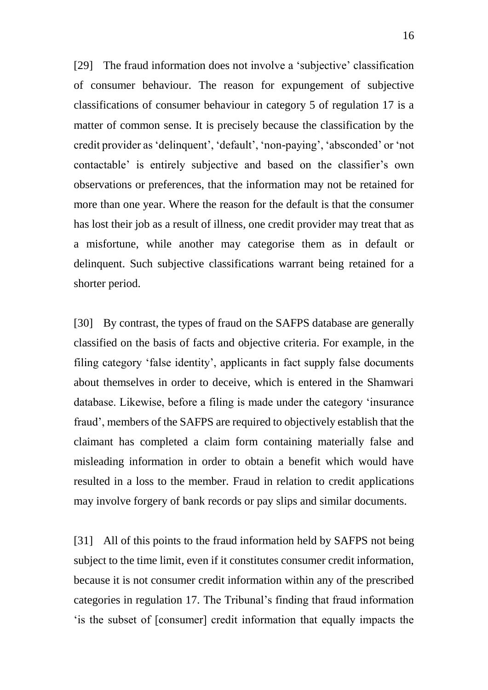[29] The fraud information does not involve a 'subjective' classification of consumer behaviour. The reason for expungement of subjective classifications of consumer behaviour in category 5 of regulation 17 is a matter of common sense. It is precisely because the classification by the credit provider as 'delinquent', 'default', 'non-paying', 'absconded' or 'not contactable' is entirely subjective and based on the classifier's own observations or preferences, that the information may not be retained for more than one year. Where the reason for the default is that the consumer has lost their job as a result of illness, one credit provider may treat that as a misfortune, while another may categorise them as in default or delinquent. Such subjective classifications warrant being retained for a shorter period.

[30] By contrast, the types of fraud on the SAFPS database are generally classified on the basis of facts and objective criteria. For example, in the filing category 'false identity', applicants in fact supply false documents about themselves in order to deceive, which is entered in the Shamwari database. Likewise, before a filing is made under the category 'insurance fraud', members of the SAFPS are required to objectively establish that the claimant has completed a claim form containing materially false and misleading information in order to obtain a benefit which would have resulted in a loss to the member. Fraud in relation to credit applications may involve forgery of bank records or pay slips and similar documents.

[31] All of this points to the fraud information held by SAFPS not being subject to the time limit, even if it constitutes consumer credit information, because it is not consumer credit information within any of the prescribed categories in regulation 17. The Tribunal's finding that fraud information 'is the subset of [consumer] credit information that equally impacts the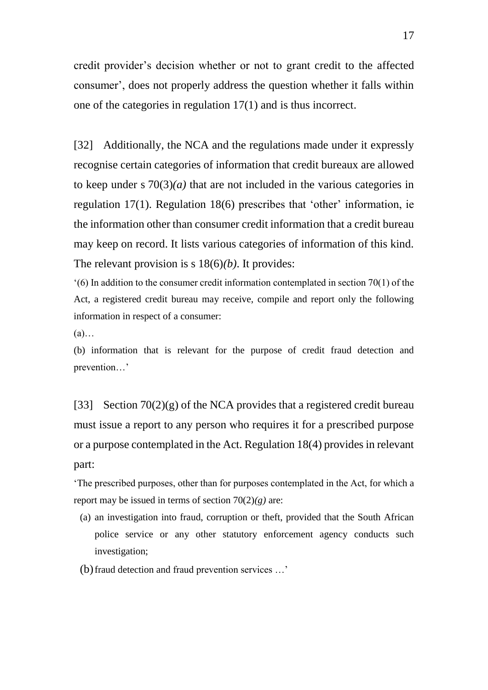credit provider's decision whether or not to grant credit to the affected consumer', does not properly address the question whether it falls within one of the categories in regulation 17(1) and is thus incorrect.

[32] Additionally, the NCA and the regulations made under it expressly recognise certain categories of information that credit bureaux are allowed to keep under s  $70(3)(a)$  that are not included in the various categories in regulation 17(1). Regulation 18(6) prescribes that 'other' information, ie the information other than consumer credit information that a credit bureau may keep on record. It lists various categories of information of this kind. The relevant provision is s 18(6)*(b)*. It provides:

'(6) In addition to the consumer credit information contemplated in section 70(1) of the Act, a registered credit bureau may receive, compile and report only the following information in respect of a consumer:

 $(a)$ …

(b) information that is relevant for the purpose of credit fraud detection and prevention…'

[33] Section  $70(2)(g)$  of the NCA provides that a registered credit bureau must issue a report to any person who requires it for a prescribed purpose or a purpose contemplated in the Act. Regulation 18(4) provides in relevant part:

'The prescribed purposes, other than for purposes contemplated in the Act, for which a report may be issued in terms of section 70(2)*(g)* are:

- (a) an investigation into fraud, corruption or theft, provided that the South African police service or any other statutory enforcement agency conducts such investigation;
- (b)fraud detection and fraud prevention services …'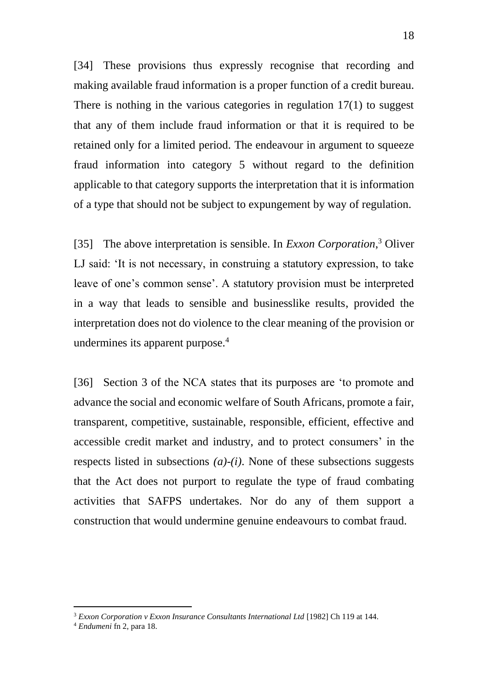[34] These provisions thus expressly recognise that recording and making available fraud information is a proper function of a credit bureau. There is nothing in the various categories in regulation 17(1) to suggest that any of them include fraud information or that it is required to be retained only for a limited period. The endeavour in argument to squeeze fraud information into category 5 without regard to the definition applicable to that category supports the interpretation that it is information of a type that should not be subject to expungement by way of regulation.

[35] The above interpretation is sensible. In *Exxon Corporation*, <sup>3</sup> Oliver LJ said: 'It is not necessary, in construing a statutory expression, to take leave of one's common sense'. A statutory provision must be interpreted in a way that leads to sensible and businesslike results, provided the interpretation does not do violence to the clear meaning of the provision or undermines its apparent purpose.<sup>4</sup>

[36] Section 3 of the NCA states that its purposes are 'to promote and advance the social and economic welfare of South Africans, promote a fair, transparent, competitive, sustainable, responsible, efficient, effective and accessible credit market and industry, and to protect consumers' in the respects listed in subsections *(a)*-*(i)*. None of these subsections suggests that the Act does not purport to regulate the type of fraud combating activities that SAFPS undertakes. Nor do any of them support a construction that would undermine genuine endeavours to combat fraud.

<sup>3</sup> *Exxon Corporation v Exxon Insurance Consultants International Ltd* [1982] Ch 119 at 144.

<sup>4</sup> *Endumeni* fn 2, para 18.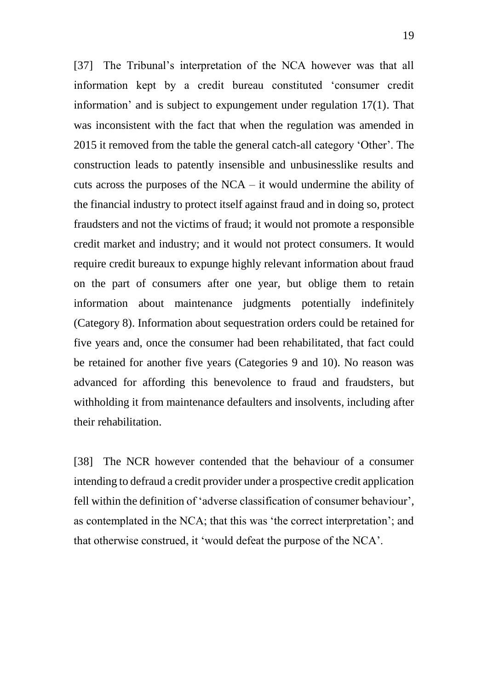[37] The Tribunal's interpretation of the NCA however was that all information kept by a credit bureau constituted 'consumer credit information' and is subject to expungement under regulation 17(1). That was inconsistent with the fact that when the regulation was amended in 2015 it removed from the table the general catch-all category 'Other'. The construction leads to patently insensible and unbusinesslike results and cuts across the purposes of the NCA – it would undermine the ability of the financial industry to protect itself against fraud and in doing so, protect fraudsters and not the victims of fraud; it would not promote a responsible credit market and industry; and it would not protect consumers. It would require credit bureaux to expunge highly relevant information about fraud on the part of consumers after one year, but oblige them to retain information about maintenance judgments potentially indefinitely (Category 8). Information about sequestration orders could be retained for five years and, once the consumer had been rehabilitated, that fact could be retained for another five years (Categories 9 and 10). No reason was advanced for affording this benevolence to fraud and fraudsters, but withholding it from maintenance defaulters and insolvents, including after their rehabilitation.

[38] The NCR however contended that the behaviour of a consumer intending to defraud a credit provider under a prospective credit application fell within the definition of 'adverse classification of consumer behaviour', as contemplated in the NCA; that this was 'the correct interpretation'; and that otherwise construed, it 'would defeat the purpose of the NCA'.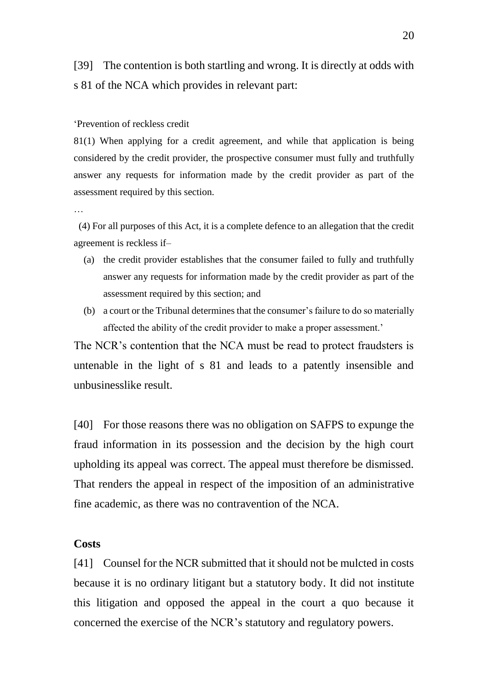[39] The contention is both startling and wrong. It is directly at odds with s 81 of the NCA which provides in relevant part:

#### 'Prevention of reckless credit

81(1) When applying for a credit agreement, and while that application is being considered by the credit provider, the prospective consumer must fully and truthfully answer any requests for information made by the credit provider as part of the assessment required by this section.

…

 (4) For all purposes of this Act, it is a complete defence to an allegation that the credit agreement is reckless if–

- (a) the credit provider establishes that the consumer failed to fully and truthfully answer any requests for information made by the credit provider as part of the assessment required by this section; and
- (b) a court or the Tribunal determines that the consumer's failure to do so materially affected the ability of the credit provider to make a proper assessment.'

The NCR's contention that the NCA must be read to protect fraudsters is untenable in the light of s 81 and leads to a patently insensible and unbusinesslike result.

[40] For those reasons there was no obligation on SAFPS to expunge the fraud information in its possession and the decision by the high court upholding its appeal was correct. The appeal must therefore be dismissed. That renders the appeal in respect of the imposition of an administrative fine academic, as there was no contravention of the NCA.

#### **Costs**

[41] Counsel for the NCR submitted that it should not be mulcted in costs because it is no ordinary litigant but a statutory body. It did not institute this litigation and opposed the appeal in the court a quo because it concerned the exercise of the NCR's statutory and regulatory powers.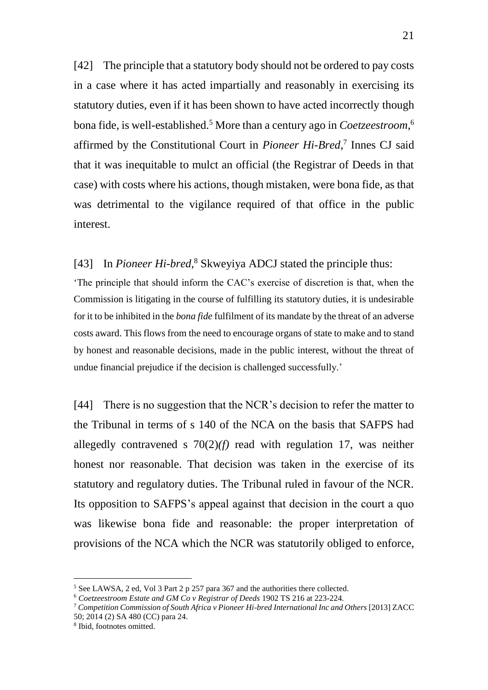[42] The principle that a statutory body should not be ordered to pay costs in a case where it has acted impartially and reasonably in exercising its statutory duties, even if it has been shown to have acted incorrectly though bona fide, is well-established.<sup>5</sup> More than a century ago in *Coetzeestroom*, 6 affirmed by the Constitutional Court in *Pioneer Hi-Bred*, 7 Innes CJ said that it was inequitable to mulct an official (the Registrar of Deeds in that case) with costs where his actions, though mistaken, were bona fide, as that was detrimental to the vigilance required of that office in the public interest.

## [43] In *Pioneer Hi-bred*, <sup>8</sup> Skweyiya ADCJ stated the principle thus:

'The principle that should inform the CAC's exercise of discretion is that, when the Commission is litigating in the course of fulfilling its statutory duties, it is undesirable for it to be inhibited in the *bona fide* fulfilment of its mandate by the threat of an adverse costs award. This flows from the need to encourage organs of state to make and to stand by honest and reasonable decisions, made in the public interest, without the threat of undue financial prejudice if the decision is challenged successfully.'

[44] There is no suggestion that the NCR's decision to refer the matter to the Tribunal in terms of s 140 of the NCA on the basis that SAFPS had allegedly contravened s 70(2)*(f)* read with regulation 17, was neither honest nor reasonable. That decision was taken in the exercise of its statutory and regulatory duties. The Tribunal ruled in favour of the NCR. Its opposition to SAFPS's appeal against that decision in the court a quo was likewise bona fide and reasonable: the proper interpretation of provisions of the NCA which the NCR was statutorily obliged to enforce,

<sup>5</sup> See LAWSA, 2 ed, Vol 3 Part 2 p 257 para 367 and the authorities there collected.

<sup>6</sup> *Coetzeestroom Estate and GM Co v Registrar of Deeds* 1902 TS 216 at 223-224.

<sup>7</sup> *Competition Commission of South Africa v Pioneer Hi-bred International Inc and Others* [2013] ZACC 50; 2014 (2) SA 480 (CC) para 24.

<sup>8</sup> Ibid, footnotes omitted.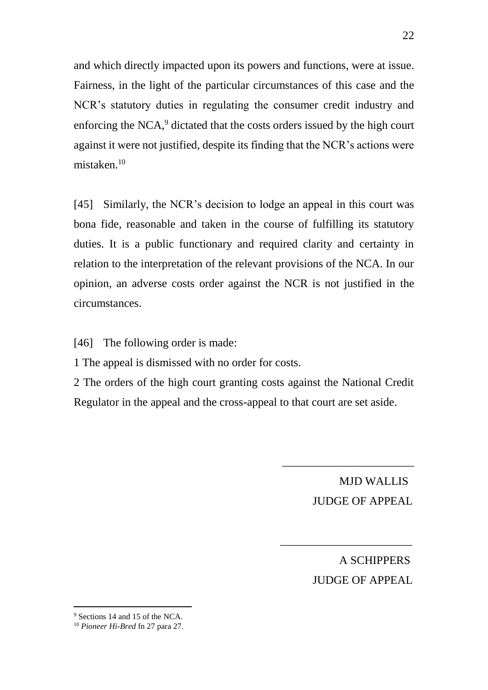and which directly impacted upon its powers and functions, were at issue. Fairness, in the light of the particular circumstances of this case and the NCR's statutory duties in regulating the consumer credit industry and enforcing the NCA, $9$  dictated that the costs orders issued by the high court against it were not justified, despite its finding that the NCR's actions were mistaken.<sup>10</sup>

[45] Similarly, the NCR's decision to lodge an appeal in this court was bona fide, reasonable and taken in the course of fulfilling its statutory duties. It is a public functionary and required clarity and certainty in relation to the interpretation of the relevant provisions of the NCA. In our opinion, an adverse costs order against the NCR is not justified in the circumstances.

[46] The following order is made:

1 The appeal is dismissed with no order for costs.

2 The orders of the high court granting costs against the National Credit Regulator in the appeal and the cross-appeal to that court are set aside.

> MJD WALLIS JUDGE OF APPEAL

\_\_\_\_\_\_\_\_\_\_\_\_\_\_\_\_\_\_\_\_\_\_\_

\_\_\_\_\_\_\_\_\_\_\_\_\_\_\_\_\_\_\_\_\_\_\_

 A SCHIPPERS JUDGE OF APPEAL

<sup>9</sup> Sections 14 and 15 of the NCA.

<sup>10</sup> *Pioneer Hi-Bred* fn 27 para 27.